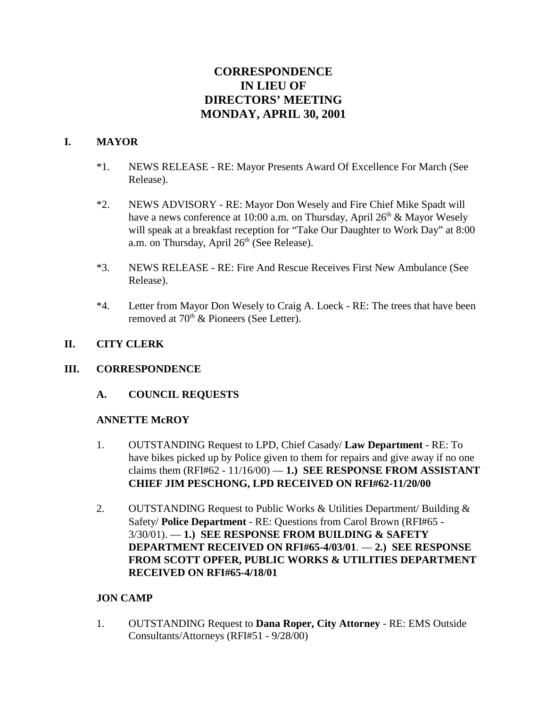# **CORRESPONDENCE IN LIEU OF DIRECTORS' MEETING MONDAY, APRIL 30, 2001**

#### **I. MAYOR**

- \*1. NEWS RELEASE RE: Mayor Presents Award Of Excellence For March (See Release).
- \*2. NEWS ADVISORY RE: Mayor Don Wesely and Fire Chief Mike Spadt will have a news conference at 10:00 a.m. on Thursday, April  $26<sup>th</sup>$  & Mayor Wesely will speak at a breakfast reception for "Take Our Daughter to Work Day" at 8:00 a.m. on Thursday, April 26<sup>th</sup> (See Release).
- \*3. NEWS RELEASE RE: Fire And Rescue Receives First New Ambulance (See Release).
- \*4. Letter from Mayor Don Wesely to Craig A. Loeck RE: The trees that have been removed at  $70<sup>th</sup>$  & Pioneers (See Letter).

# **II. CITY CLERK**

#### **III. CORRESPONDENCE**

**A. COUNCIL REQUESTS**

#### **ANNETTE McROY**

- 1. OUTSTANDING Request to LPD, Chief Casady/ **Law Department** RE: To have bikes picked up by Police given to them for repairs and give away if no one claims them  $(RFI#62 - 11/16/00) - 1$ .) **SEE RESPONSE FROM ASSISTANT CHIEF JIM PESCHONG, LPD RECEIVED ON RFI#62-11/20/00**
- 2. OUTSTANDING Request to Public Works & Utilities Department/ Building & Safety/ **Police Department** - RE: Questions from Carol Brown (RFI#65 - 3/30/01). — **1.) SEE RESPONSE FROM BUILDING & SAFETY DEPARTMENT RECEIVED ON RFI#65-4/03/01**. — **2.) SEE RESPONSE FROM SCOTT OPFER, PUBLIC WORKS & UTILITIES DEPARTMENT RECEIVED ON RFI#65-4/18/01**

#### **JON CAMP**

1. OUTSTANDING Request to **Dana Roper, City Attorney** - RE: EMS Outside Consultants/Attorneys (RFI#51 - 9/28/00)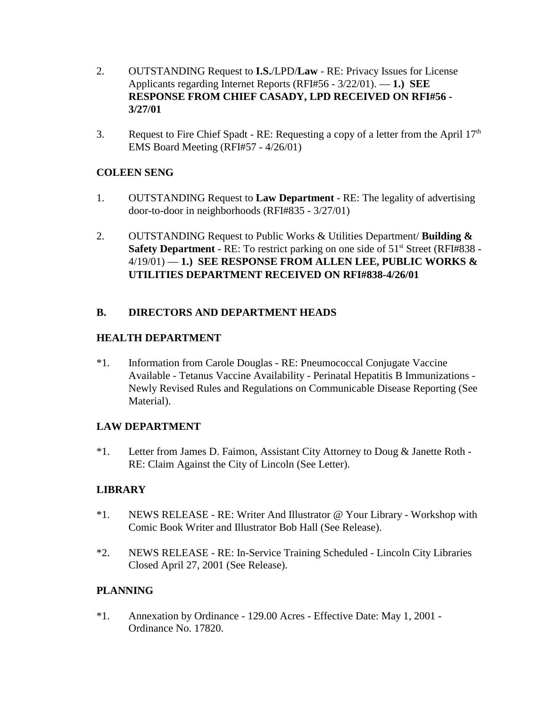- 2. OUTSTANDING Request to **I.S.**/LPD/**Law** RE: Privacy Issues for License Applicants regarding Internet Reports (RFI#56 - 3/22/01). — **1.) SEE RESPONSE FROM CHIEF CASADY, LPD RECEIVED ON RFI#56 - 3/27/01**
- 3. Request to Fire Chief Spadt RE: Requesting a copy of a letter from the April  $17<sup>th</sup>$ EMS Board Meeting (RFI#57 - 4/26/01)

# **COLEEN SENG**

- 1. OUTSTANDING Request to **Law Department** RE: The legality of advertising door-to-door in neighborhoods (RFI#835 - 3/27/01)
- 2. OUTSTANDING Request to Public Works & Utilities Department/ **Building & Safety Department** - RE: To restrict parking on one side of 51<sup>st</sup> Street (RFI#838 -4/19/01) — **1.) SEE RESPONSE FROM ALLEN LEE, PUBLIC WORKS & UTILITIES DEPARTMENT RECEIVED ON RFI#838-4/26/01**

# **B. DIRECTORS AND DEPARTMENT HEADS**

# **HEALTH DEPARTMENT**

\*1. Information from Carole Douglas - RE: Pneumococcal Conjugate Vaccine Available - Tetanus Vaccine Availability - Perinatal Hepatitis B Immunizations - Newly Revised Rules and Regulations on Communicable Disease Reporting (See Material).

#### **LAW DEPARTMENT**

\*1. Letter from James D. Faimon, Assistant City Attorney to Doug & Janette Roth - RE: Claim Against the City of Lincoln (See Letter).

#### **LIBRARY**

- \*1. NEWS RELEASE RE: Writer And Illustrator @ Your Library Workshop with Comic Book Writer and Illustrator Bob Hall (See Release).
- \*2. NEWS RELEASE RE: In-Service Training Scheduled Lincoln City Libraries Closed April 27, 2001 (See Release).

# **PLANNING**

\*1. Annexation by Ordinance - 129.00 Acres - Effective Date: May 1, 2001 - Ordinance No. 17820.